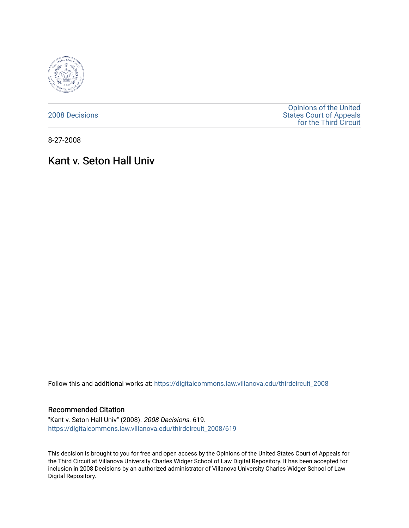

[2008 Decisions](https://digitalcommons.law.villanova.edu/thirdcircuit_2008)

[Opinions of the United](https://digitalcommons.law.villanova.edu/thirdcircuit)  [States Court of Appeals](https://digitalcommons.law.villanova.edu/thirdcircuit)  [for the Third Circuit](https://digitalcommons.law.villanova.edu/thirdcircuit) 

8-27-2008

# Kant v. Seton Hall Univ

Follow this and additional works at: [https://digitalcommons.law.villanova.edu/thirdcircuit\\_2008](https://digitalcommons.law.villanova.edu/thirdcircuit_2008?utm_source=digitalcommons.law.villanova.edu%2Fthirdcircuit_2008%2F619&utm_medium=PDF&utm_campaign=PDFCoverPages) 

### Recommended Citation

"Kant v. Seton Hall Univ" (2008). 2008 Decisions. 619. [https://digitalcommons.law.villanova.edu/thirdcircuit\\_2008/619](https://digitalcommons.law.villanova.edu/thirdcircuit_2008/619?utm_source=digitalcommons.law.villanova.edu%2Fthirdcircuit_2008%2F619&utm_medium=PDF&utm_campaign=PDFCoverPages)

This decision is brought to you for free and open access by the Opinions of the United States Court of Appeals for the Third Circuit at Villanova University Charles Widger School of Law Digital Repository. It has been accepted for inclusion in 2008 Decisions by an authorized administrator of Villanova University Charles Widger School of Law Digital Repository.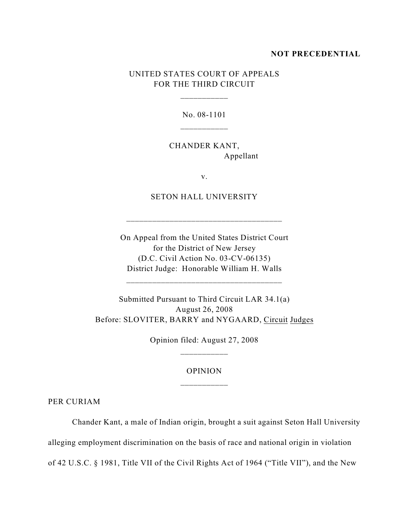#### **NOT PRECEDENTIAL**

# UNITED STATES COURT OF APPEALS FOR THE THIRD CIRCUIT

\_\_\_\_\_\_\_\_\_\_\_

No. 08-1101

CHANDER KANT, Appellant

v.

SETON HALL UNIVERSITY

\_\_\_\_\_\_\_\_\_\_\_\_\_\_\_\_\_\_\_\_\_\_\_\_\_\_\_\_\_\_\_\_\_\_\_\_

On Appeal from the United States District Court for the District of New Jersey (D.C. Civil Action No. 03-CV-06135) District Judge: Honorable William H. Walls

\_\_\_\_\_\_\_\_\_\_\_\_\_\_\_\_\_\_\_\_\_\_\_\_\_\_\_\_\_\_\_\_\_\_\_\_

Submitted Pursuant to Third Circuit LAR 34.1(a) August 26, 2008 Before: SLOVITER, BARRY and NYGAARD, Circuit Judges

> Opinion filed: August 27, 2008 \_\_\_\_\_\_\_\_\_\_\_

## OPINION

PER CURIAM

Chander Kant, a male of Indian origin, brought a suit against Seton Hall University alleging employment discrimination on the basis of race and national origin in violation of 42 U.S.C. § 1981, Title VII of the Civil Rights Act of 1964 ("Title VII"), and the New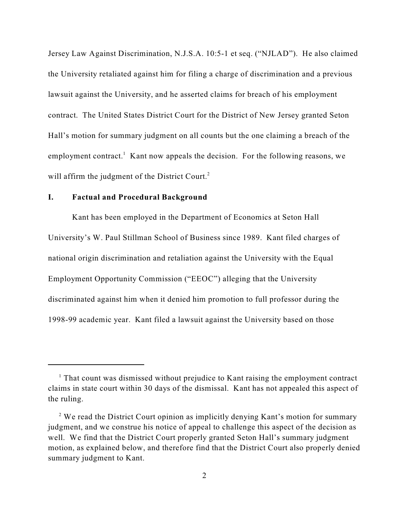Jersey Law Against Discrimination, N.J.S.A. 10:5-1 et seq. ("NJLAD"). He also claimed the University retaliated against him for filing a charge of discrimination and a previous lawsuit against the University, and he asserted claims for breach of his employment contract. The United States District Court for the District of New Jersey granted Seton Hall's motion for summary judgment on all counts but the one claiming a breach of the employment contract.<sup>1</sup> Kant now appeals the decision. For the following reasons, we will affirm the judgment of the District Court.<sup>2</sup>

### **I. Factual and Procedural Background**

Kant has been employed in the Department of Economics at Seton Hall University's W. Paul Stillman School of Business since 1989. Kant filed charges of national origin discrimination and retaliation against the University with the Equal Employment Opportunity Commission ("EEOC") alleging that the University discriminated against him when it denied him promotion to full professor during the 1998-99 academic year. Kant filed a lawsuit against the University based on those

 $<sup>1</sup>$  That count was dismissed without prejudice to Kant raising the employment contract</sup> claims in state court within 30 days of the dismissal. Kant has not appealed this aspect of the ruling.

 $2$  We read the District Court opinion as implicitly denying Kant's motion for summary judgment, and we construe his notice of appeal to challenge this aspect of the decision as well. We find that the District Court properly granted Seton Hall's summary judgment motion, as explained below, and therefore find that the District Court also properly denied summary judgment to Kant.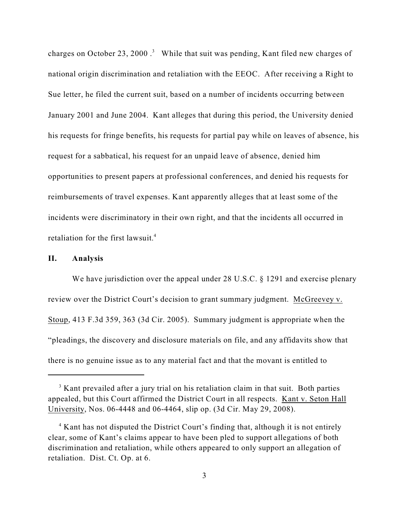charges on October 23, 2000.<sup>3</sup> While that suit was pending, Kant filed new charges of national origin discrimination and retaliation with the EEOC. After receiving a Right to Sue letter, he filed the current suit, based on a number of incidents occurring between January 2001 and June 2004. Kant alleges that during this period, the University denied his requests for fringe benefits, his requests for partial pay while on leaves of absence, his request for a sabbatical, his request for an unpaid leave of absence, denied him opportunities to present papers at professional conferences, and denied his requests for reimbursements of travel expenses. Kant apparently alleges that at least some of the incidents were discriminatory in their own right, and that the incidents all occurred in retaliation for the first lawsuit.<sup>4</sup>

## **II. Analysis**

We have jurisdiction over the appeal under 28 U.S.C. § 1291 and exercise plenary review over the District Court's decision to grant summary judgment. McGreevey v. Stoup, 413 F.3d 359, 363 (3d Cir. 2005). Summary judgment is appropriate when the "pleadings, the discovery and disclosure materials on file, and any affidavits show that there is no genuine issue as to any material fact and that the movant is entitled to

 $3$  Kant prevailed after a jury trial on his retaliation claim in that suit. Both parties appealed, but this Court affirmed the District Court in all respects. Kant v. Seton Hall University, Nos. 06-4448 and 06-4464, slip op. (3d Cir. May 29, 2008).

 $4$  Kant has not disputed the District Court's finding that, although it is not entirely clear, some of Kant's claims appear to have been pled to support allegations of both discrimination and retaliation, while others appeared to only support an allegation of retaliation. Dist. Ct. Op. at 6.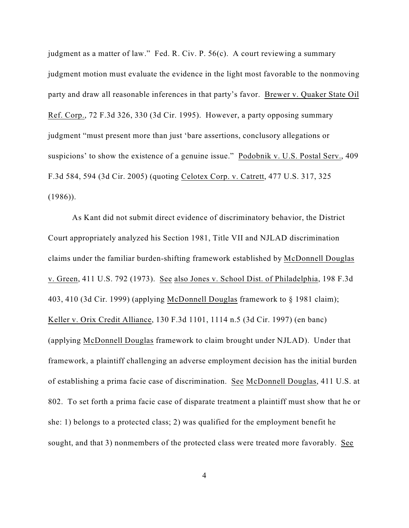judgment as a matter of law." Fed. R. Civ. P. 56(c). A court reviewing a summary judgment motion must evaluate the evidence in the light most favorable to the nonmoving party and draw all reasonable inferences in that party's favor. Brewer v. Quaker State Oil Ref. Corp., 72 F.3d 326, 330 (3d Cir. 1995). However, a party opposing summary judgment "must present more than just 'bare assertions, conclusory allegations or suspicions' to show the existence of a genuine issue." Podobnik v. U.S. Postal Serv., 409 F.3d 584, 594 (3d Cir. 2005) (quoting Celotex Corp. v. Catrett, 477 U.S. 317, 325  $(1986)$ .

As Kant did not submit direct evidence of discriminatory behavior, the District Court appropriately analyzed his Section 1981, Title VII and NJLAD discrimination claims under the familiar burden-shifting framework established by McDonnell Douglas v. Green, 411 U.S. 792 (1973). See also Jones v. School Dist. of Philadelphia, 198 F.3d 403, 410 (3d Cir. 1999) (applying McDonnell Douglas framework to § 1981 claim); Keller v. Orix Credit Alliance, 130 F.3d 1101, 1114 n.5 (3d Cir. 1997) (en banc) (applying McDonnell Douglas framework to claim brought under NJLAD). Under that framework, a plaintiff challenging an adverse employment decision has the initial burden of establishing a prima facie case of discrimination. See McDonnell Douglas, 411 U.S. at 802. To set forth a prima facie case of disparate treatment a plaintiff must show that he or she: 1) belongs to a protected class; 2) was qualified for the employment benefit he sought, and that 3) nonmembers of the protected class were treated more favorably. See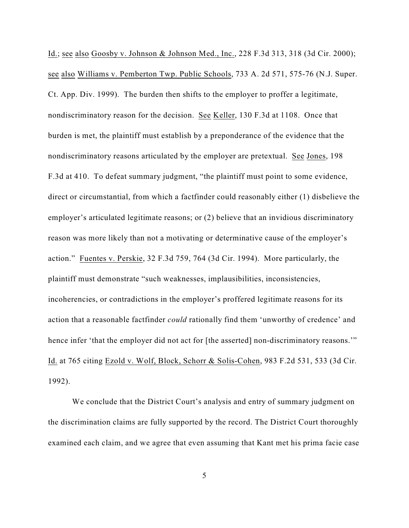Id.; see also Goosby v. Johnson & Johnson Med., Inc., 228 F.3d 313, 318 (3d Cir. 2000); see also Williams v. Pemberton Twp. Public Schools, 733 A. 2d 571, 575-76 (N.J. Super. Ct. App. Div. 1999). The burden then shifts to the employer to proffer a legitimate, nondiscriminatory reason for the decision. See Keller, 130 F.3d at 1108. Once that burden is met, the plaintiff must establish by a preponderance of the evidence that the nondiscriminatory reasons articulated by the employer are pretextual. See Jones, 198 F.3d at 410. To defeat summary judgment, "the plaintiff must point to some evidence, direct or circumstantial, from which a factfinder could reasonably either (1) disbelieve the employer's articulated legitimate reasons; or (2) believe that an invidious discriminatory reason was more likely than not a motivating or determinative cause of the employer's action." Fuentes v. Perskie, 32 F.3d 759, 764 (3d Cir. 1994). More particularly, the plaintiff must demonstrate "such weaknesses, implausibilities, inconsistencies, incoherencies, or contradictions in the employer's proffered legitimate reasons for its action that a reasonable factfinder *could* rationally find them 'unworthy of credence' and hence infer 'that the employer did not act for [the asserted] non-discriminatory reasons." Id. at 765 citing Ezold v. Wolf, Block, Schorr & Solis-Cohen, 983 F.2d 531, 533 (3d Cir. 1992).

We conclude that the District Court's analysis and entry of summary judgment on the discrimination claims are fully supported by the record. The District Court thoroughly examined each claim, and we agree that even assuming that Kant met his prima facie case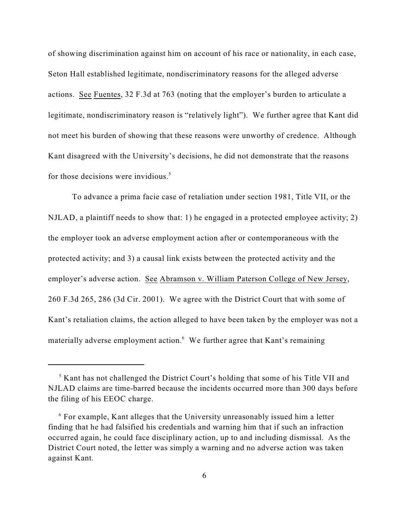of showing discrimination against him on account of his race or nationality, in each case, Seton Hall established legitimate, nondiscriminatory reasons for the alleged adverse actions. See Fuentes, 32 F.3d at 763 (noting that the employer's burden to articulate a legitimate, nondiscriminatory reason is "relatively light"). We further agree that Kant did not meet his burden of showing that these reasons were unworthy of credence. Although Kant disagreed with the University's decisions, he did not demonstrate that the reasons for those decisions were invidious.<sup>5</sup>

To advance a prima facie case of retaliation under section 1981, Title VII, or the NJLAD, a plaintiff needs to show that: 1) he engaged in a protected employee activity; 2) the employer took an adverse employment action after or contemporaneous with the protected activity; and 3) a causal link exists between the protected activity and the employer's adverse action. See Abramson v. William Paterson College of New Jersey, 260 F.3d 265, 286 (3d Cir. 2001). We agree with the District Court that with some of Kant's retaliation claims, the action alleged to have been taken by the employer was not a materially adverse employment action.<sup>6</sup> We further agree that Kant's remaining

 $<sup>5</sup>$  Kant has not challenged the District Court's holding that some of his Title VII and</sup> NJLAD claims are time-barred because the incidents occurred more than 300 days before the filing of his EEOC charge.

 $6$  For example, Kant alleges that the University unreasonably issued him a letter finding that he had falsified his credentials and warning him that if such an infraction occurred again, he could face disciplinary action, up to and including dismissal. As the District Court noted, the letter was simply a warning and no adverse action was taken against Kant.